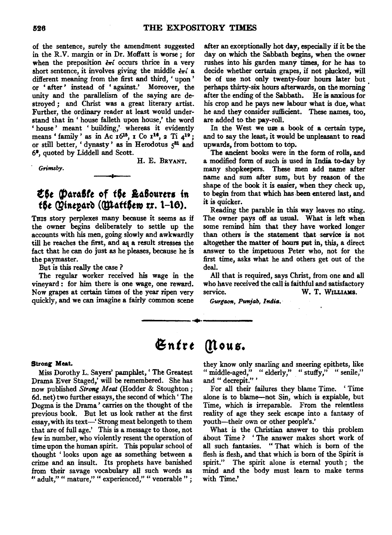of the sentence, surely the amendment suggested in the R.V. margin or in Dr. Moffatt is worse; for when the preposition  $\epsilon \pi i$  occurs thrice in a very short sentence, it involves giving the middle  $\epsilon \pi i$  a different meaning from the first and third, ' upon ' or ' after ' instead of ' against.' Moreover, the unity and the parallelism of the saying are destroyed ; and Christ was a great literary artist. Further, the ordinary reader at least would understand that in' house falleth upon house,' the word ' house ' meant ' building,' whereas it evidently means ' family' as in Ac  $16^{15}$ ,  $1 \text{ Co } 1^{16}$ ,  $2 \text{ Ti } 4^{19}$ ; or still better, 'dynasty' as in Herodotus  $5^{31}$  and 61, quoted by Liddell and Scott.

*Grimsby.* 

H. E. BRYANT.

# $E$ 5e (Para*fic* of *the Laflourers in the Qinepard (Quatther rr. 1–16).*

THIS story perplexes many because it seems as if the owner begins deliberately to settle up the accounts with his men, going slowly and awkwardly till he reaches the first, and as a result stresses the fact that he can do just as he pleases, because he is the paymaster.

But is this really the case ?

The regular worker received his wage in the vineyard: for him there is one wage, one reward. Now grapes at certain times of the year ripen very quickly, and we can imagine a fairly common scene

after an exceptionally hot day, especially if it be the day on which the Sabbath begins, when the owner rushes into his garden many times, for he has to decide whether certain grapes, if not plucked, will be of use not only twenty-four hours later but perhaps thirty-six hours afterwards, on the morning after the ending of the Sabbath. He is anxious for his crop and he pays new labour what is due, what he and they consider sufficient. These names, too, are added to the pay-roll.

In the West we use a book of a certain type, and to say the least, it would be unpleasant to read upwards, from bottom to top.

The ancient books were in the form of rolls, and a modified form of such is used in India to-day by many shopkeepers. These men add name after name and sum after sum, but by reason of the shape of the book it is easier, when they check up, to begin from that which has been entered last, and it is quicker.

Reading the parable in this way leaves no sting. The owner pays off as usual. What is left when some remind him that they have worked longer than others is the statement that service is not altogether the matter *m* hours put in, this, a direct answer to the impetuous Peter who, not for the first time, asks what he and others get out of the deal.

All that is required, says Christ, from one and all who have received the call is faithful and satisfactory service. W. T. WILLIAMS.

Gurgaon, Punjab, India.

# Entre Mous.

#### Strong Meat.

Miss Dorothy L. Sayers' pamphlet, ' The Greatest Drama Ever Staged,' will be remembered. She has now published *Strong Meat* (Hodder & Stoughton; 6d. net) two further essays, the second of which' The Dogma is the Drama ' carries on the thought of the previous book. But let us look rather at the first essay, with its text-' Strong meat belongeth to them that are of full age.' This is a message to those, not few in number, who violently resent the operation of time upon the human spirit. This popular school of thought ' looks upon age as something between a crime and an insult. Its prophets have banished from their savage vocabulary all such words as " adult," " mature," " experienced," " venerable ";

they know only snarling and sneering epithets, like " middle-aged," " elderly," " stuffy," " senile," and " decrepit." '

For all their failures they blame Time. ' Time alone is to blame-not Sin, which is expiable, but Time, which is irreparable. From the relentless reality of age they seek escape into a fantasy of youth-their own or other people's.'

What is the Christian answer to this problem about Time ? ' The answer makes short work of all such fantasies. " That which is born of the flesh is flesh, and that which is born of the Spirit is spirit." The spirit alone is eternal youth ; the mind and the body must learn to make terms with Time.'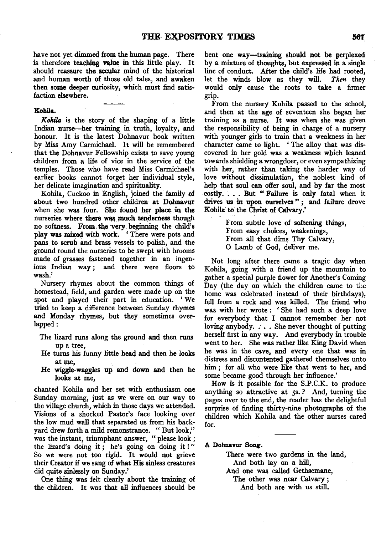have not yet dimmed from the human page. There is therefore teaching value in this little play. It should reassure the secular mind of the historical and human worth of those old tales, and awaken then some deeper curiosity, which must find satisfaction elsewhere.

# Kohila.

Kohila is the story of the shaping of a little Indian nurse-her training in truth, loyalty, and honour. It is the latest Dohnavur book written by Miss Amy Carmichael. It will be remembered that the Dohnavur Fellowship exists to save young children from a life of vice in the service of the temples. Those who have read Miss Carmichael's earlier books cannot forget her individual style, her delicate imagination and spirituality.

Kohila, Cuckoo in English, joined the family of about two hundred other children at Dohnavur when she was four. She found her place in the nurseries where there was much tenderness though no softness. From, the very beginning the child's play was mixed with work. ' There were pots and pans to scrub and brass vessels to polish, and the ground round the nurseries to be swept with brooms made of grasses fastened together in an ingenious Indian way ; and there were floors to wash.'

Nursery rhymes about the common things of homestead, field, and garden were made up on the spot and played their part in education. 'We tried to keep a difference between Sunday rhymes and Monday rhymes, but they sometimes overlapped:

- The lizard runs along the ground and then runs up a tree,
- He turns his funny little head and then he looks at me.
- He wiggle-waggles up and down and then he looks at me,

chanted Kohila and her set with enthusiasm one Sunday morning, just as we were on our way to the village church, which in those days we attended. Visions of a shocked Pastor's face looking over the low mud wall that separated us from his backyard drew forth a mild remonstrance. " But look," was the instant, triumphant answer, "please look; the lizard's doing it; he's going on doing it ! " So we were not too rigid. It would not grieve their Creator if we sang of what His sinless creatures did quite sinlessly on Sunday.'

One thing was felt clearly about the training of the children. It was that all influences should be

bent one way---training should not be perplexed by a mixture of thoughts, but expressed in a single line of conduct. After the child's life had rooted, let the winds blow as they will. *Then* they would only cause the roots to take a firmer grip.

From the nursery Kohila passed to the school, and then at the age of seventeen she began her training as a nurse. It was when she was given the responsibility of being in charge of a nursery with younger girls to train that a weakness in her character came to light. ' The alloy that was discovered in her gold was a weakness which leaned towards shielding a wrongdoer, or even sympathizing with her, rather than taking the harder way of love without dissimulation, the noblest kind of help that soul can offer soul, and by far the most costly. . . . But " Failure is only fatal when it drives us in upon ourselves"; and failure drove Kohila to the Christ of Calvary.'

> From. subtle love of softening things, From easy choices, weakenings, From all that dims Thy Calvary, 0 Lamb of God, deliver me.

Not long after there came a tragic day when Kohila, going with a friend up the mountain to gather a special purple flower for Another's Coming Day (the day on which the children came to the home was celebrated instead of their birthdays), fell from a rock and was killed. The friend who was with her wrote : ' She had such a deep love for everybody that I cannot remember her not loving anybody. . . . She never thought of putting herself first in any way. And everybody in trouble went to her. She was rather like King David when he was in the cave, and every one that was in distress and discontented gathered themselves unto him; for all who were like that went to her, and some became good through her influence.'

How is it possible for the S.P.C.K. to produce anything so attractive at 5s.? And, turning the pages over to the end, the reader has the delightful surprise of finding thirty-nine photographs of the children which Kohila and the other nurses cared for.

A Dohnavur Song.

There were two gardens in the land, And both lay on a hill, And one was called Gethsemane,

The other was near Calvary ;

And both are with us still.